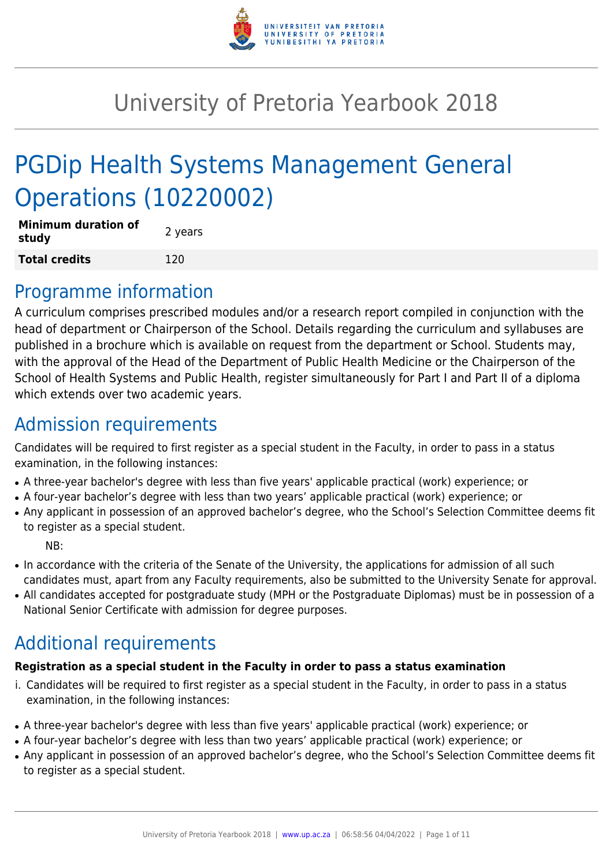

# University of Pretoria Yearbook 2018

# PGDip Health Systems Management General Operations (10220002)

| <b>Minimum duration of</b><br>study | 2 years |
|-------------------------------------|---------|
| <b>Total credits</b>                | 120     |

# Programme information

A curriculum comprises prescribed modules and/or a research report compiled in conjunction with the head of department or Chairperson of the School. Details regarding the curriculum and syllabuses are published in a brochure which is available on request from the department or School. Students may, with the approval of the Head of the Department of Public Health Medicine or the Chairperson of the School of Health Systems and Public Health, register simultaneously for Part I and Part II of a diploma which extends over two academic years.

# Admission requirements

Candidates will be required to first register as a special student in the Faculty, in order to pass in a status examination, in the following instances:

- A three-year bachelor's degree with less than five years' applicable practical (work) experience; or
- A four-year bachelor's degree with less than two years' applicable practical (work) experience; or
- Any applicant in possession of an approved bachelor's degree, who the School's Selection Committee deems fit to register as a special student.

NB:

- In accordance with the criteria of the Senate of the University, the applications for admission of all such candidates must, apart from any Faculty requirements, also be submitted to the University Senate for approval.
- All candidates accepted for postgraduate study (MPH or the Postgraduate Diplomas) must be in possession of a National Senior Certificate with admission for degree purposes.

# Additional requirements

### **Registration as a special student in the Faculty in order to pass a status examination**

- i. Candidates will be required to first register as a special student in the Faculty, in order to pass in a status examination, in the following instances:
- A three-year bachelor's degree with less than five years' applicable practical (work) experience; or
- A four-year bachelor's degree with less than two years' applicable practical (work) experience; or
- Any applicant in possession of an approved bachelor's degree, who the School's Selection Committee deems fit to register as a special student.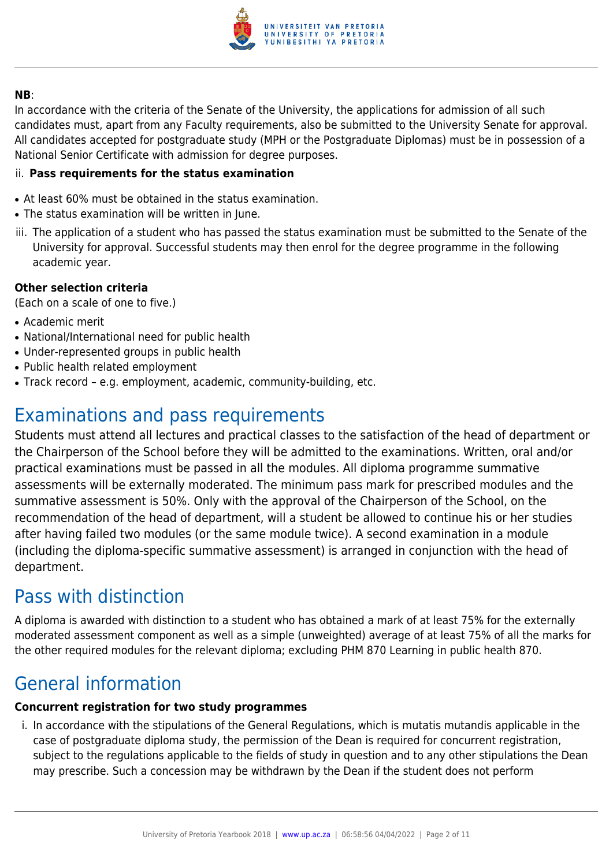

#### **NB**:

In accordance with the criteria of the Senate of the University, the applications for admission of all such candidates must, apart from any Faculty requirements, also be submitted to the University Senate for approval. All candidates accepted for postgraduate study (MPH or the Postgraduate Diplomas) must be in possession of a National Senior Certificate with admission for degree purposes.

#### ii. **Pass requirements for the status examination**

- At least 60% must be obtained in the status examination.
- The status examination will be written in June.
- iii. The application of a student who has passed the status examination must be submitted to the Senate of the University for approval. Successful students may then enrol for the degree programme in the following academic year.

#### **Other selection criteria**

(Each on a scale of one to five.)

- Academic merit
- National/International need for public health
- Under-represented groups in public health
- Public health related employment
- Track record e.g. employment, academic, community-building, etc.

# Examinations and pass requirements

Students must attend all lectures and practical classes to the satisfaction of the head of department or the Chairperson of the School before they will be admitted to the examinations. Written, oral and/or practical examinations must be passed in all the modules. All diploma programme summative assessments will be externally moderated. The minimum pass mark for prescribed modules and the summative assessment is 50%. Only with the approval of the Chairperson of the School, on the recommendation of the head of department, will a student be allowed to continue his or her studies after having failed two modules (or the same module twice). A second examination in a module (including the diploma-specific summative assessment) is arranged in conjunction with the head of department.

# Pass with distinction

A diploma is awarded with distinction to a student who has obtained a mark of at least 75% for the externally moderated assessment component as well as a simple (unweighted) average of at least 75% of all the marks for the other required modules for the relevant diploma; excluding PHM 870 Learning in public health 870.

# General information

### **Concurrent registration for two study programmes**

i. In accordance with the stipulations of the General Regulations, which is mutatis mutandis applicable in the case of postgraduate diploma study, the permission of the Dean is required for concurrent registration, subject to the regulations applicable to the fields of study in question and to any other stipulations the Dean may prescribe. Such a concession may be withdrawn by the Dean if the student does not perform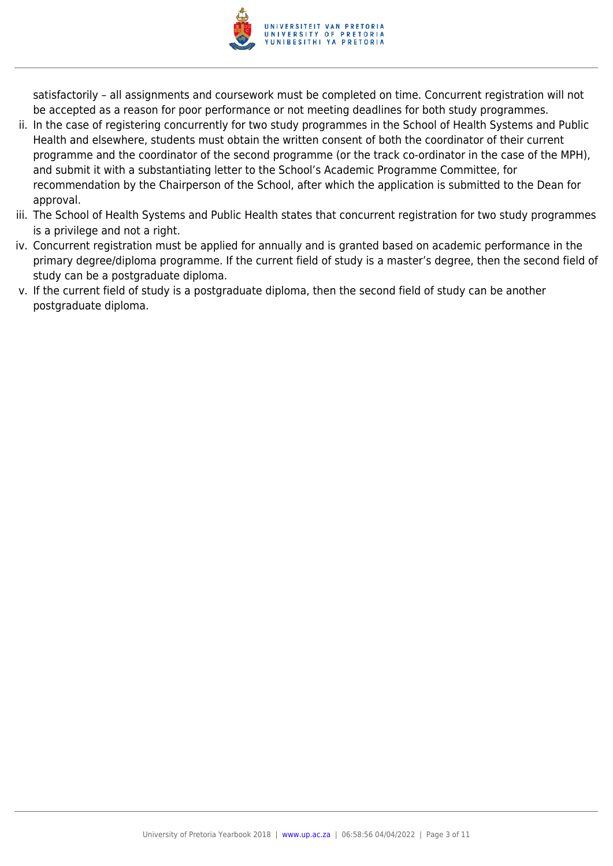

satisfactorily – all assignments and coursework must be completed on time. Concurrent registration will not be accepted as a reason for poor performance or not meeting deadlines for both study programmes.

- ii. In the case of registering concurrently for two study programmes in the School of Health Systems and Public Health and elsewhere, students must obtain the written consent of both the coordinator of their current programme and the coordinator of the second programme (or the track co-ordinator in the case of the MPH), and submit it with a substantiating letter to the School's Academic Programme Committee, for recommendation by the Chairperson of the School, after which the application is submitted to the Dean for approval.
- iii. The School of Health Systems and Public Health states that concurrent registration for two study programmes is a privilege and not a right.
- iv. Concurrent registration must be applied for annually and is granted based on academic performance in the primary degree/diploma programme. If the current field of study is a master's degree, then the second field of study can be a postgraduate diploma.
- v. If the current field of study is a postgraduate diploma, then the second field of study can be another postgraduate diploma.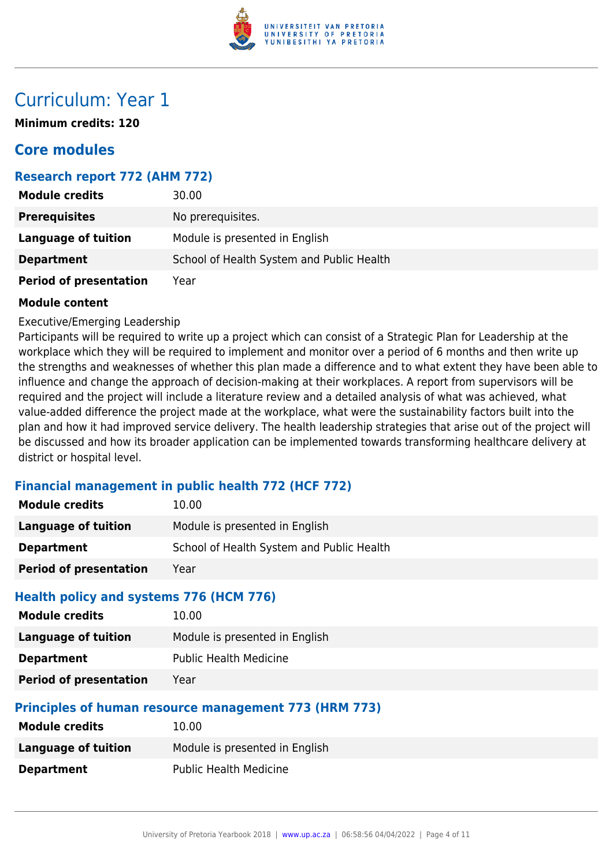

# Curriculum: Year 1

**Minimum credits: 120**

# **Core modules**

### **Research report 772 (AHM 772)**

| <b>Module credits</b>         | 30.00                                     |
|-------------------------------|-------------------------------------------|
| <b>Prerequisites</b>          | No prerequisites.                         |
| <b>Language of tuition</b>    | Module is presented in English            |
| <b>Department</b>             | School of Health System and Public Health |
| <b>Period of presentation</b> | Year                                      |

#### **Module content**

Executive/Emerging Leadership

Participants will be required to write up a project which can consist of a Strategic Plan for Leadership at the workplace which they will be required to implement and monitor over a period of 6 months and then write up the strengths and weaknesses of whether this plan made a difference and to what extent they have been able to influence and change the approach of decision-making at their workplaces. A report from supervisors will be required and the project will include a literature review and a detailed analysis of what was achieved, what value-added difference the project made at the workplace, what were the sustainability factors built into the plan and how it had improved service delivery. The health leadership strategies that arise out of the project will be discussed and how its broader application can be implemented towards transforming healthcare delivery at district or hospital level.

### **Financial management in public health 772 (HCF 772)**

| <b>Module credits</b>                                            | 10.00                                                 |
|------------------------------------------------------------------|-------------------------------------------------------|
| <b>Language of tuition</b>                                       | Module is presented in English                        |
| <b>Department</b>                                                | School of Health System and Public Health             |
| <b>Period of presentation</b>                                    | Year                                                  |
| Health policy and systems 776 (HCM 776)<br><b>Module credits</b> | 10.00                                                 |
| <b>Language of tuition</b>                                       | Module is presented in English                        |
| <b>Department</b>                                                | <b>Public Health Medicine</b>                         |
| <b>Period of presentation</b>                                    | Year                                                  |
|                                                                  | Principles of human resource management 773 (HRM 773) |
| <b>Module credits</b>                                            | 10.00                                                 |
| <b>Language of tuition</b>                                       | Module is presented in English                        |
| <b>Department</b>                                                | <b>Public Health Medicine</b>                         |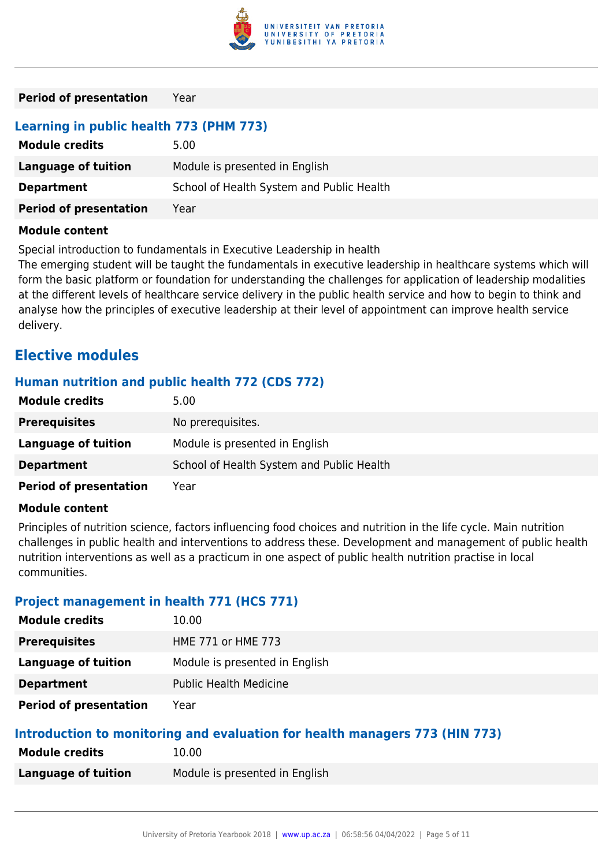

# **Learning in public health 773 (PHM 773)**

| <b>Module credits</b>         | 5.00                                      |
|-------------------------------|-------------------------------------------|
| Language of tuition           | Module is presented in English            |
| <b>Department</b>             | School of Health System and Public Health |
| <b>Period of presentation</b> | Year                                      |

#### **Module content**

Special introduction to fundamentals in Executive Leadership in health

The emerging student will be taught the fundamentals in executive leadership in healthcare systems which will form the basic platform or foundation for understanding the challenges for application of leadership modalities at the different levels of healthcare service delivery in the public health service and how to begin to think and analyse how the principles of executive leadership at their level of appointment can improve health service delivery.

# **Elective modules**

### **Human nutrition and public health 772 (CDS 772)**

| <b>Module credits</b>         | 5.00                                      |
|-------------------------------|-------------------------------------------|
| <b>Prerequisites</b>          | No prerequisites.                         |
| Language of tuition           | Module is presented in English            |
| <b>Department</b>             | School of Health System and Public Health |
| <b>Period of presentation</b> | Year                                      |

#### **Module content**

Principles of nutrition science, factors influencing food choices and nutrition in the life cycle. Main nutrition challenges in public health and interventions to address these. Development and management of public health nutrition interventions as well as a practicum in one aspect of public health nutrition practise in local communities.

### **Project management in health 771 (HCS 771)**

| <b>Module credits</b>         | 10.00                          |
|-------------------------------|--------------------------------|
| <b>Prerequisites</b>          | HME 771 or HME 773             |
| Language of tuition           | Module is presented in English |
| <b>Department</b>             | <b>Public Health Medicine</b>  |
| <b>Period of presentation</b> | Year                           |

#### **Introduction to monitoring and evaluation for health managers 773 (HIN 773)**

| <b>Module credits</b> | 10.00                          |
|-----------------------|--------------------------------|
| Language of tuition   | Module is presented in English |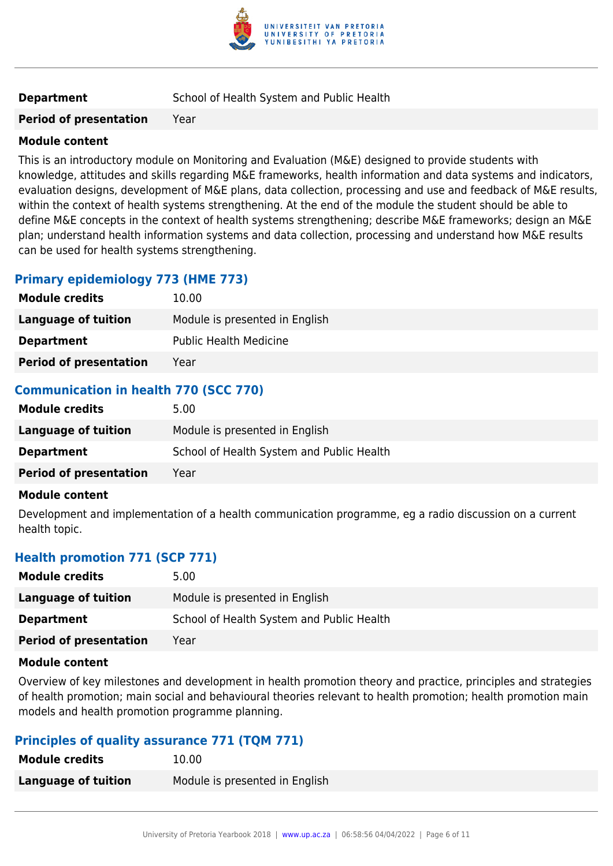

#### **Module content**

This is an introductory module on Monitoring and Evaluation (M&E) designed to provide students with knowledge, attitudes and skills regarding M&E frameworks, health information and data systems and indicators, evaluation designs, development of M&E plans, data collection, processing and use and feedback of M&E results, within the context of health systems strengthening. At the end of the module the student should be able to define M&E concepts in the context of health systems strengthening; describe M&E frameworks; design an M&E plan; understand health information systems and data collection, processing and understand how M&E results can be used for health systems strengthening.

# **Primary epidemiology 773 (HME 773)**

| <b>Module credits</b>         | 10.00                          |
|-------------------------------|--------------------------------|
| Language of tuition           | Module is presented in English |
| <b>Department</b>             | <b>Public Health Medicine</b>  |
| <b>Period of presentation</b> | Year                           |

## **Communication in health 770 (SCC 770)**

| <b>Module credits</b>         | 5.00                                      |
|-------------------------------|-------------------------------------------|
| Language of tuition           | Module is presented in English            |
| <b>Department</b>             | School of Health System and Public Health |
| <b>Period of presentation</b> | Year                                      |

#### **Module content**

Development and implementation of a health communication programme, eg a radio discussion on a current health topic.

### **Health promotion 771 (SCP 771)**

| <b>Module credits</b>         | 5.00                                      |
|-------------------------------|-------------------------------------------|
| Language of tuition           | Module is presented in English            |
| <b>Department</b>             | School of Health System and Public Health |
| <b>Period of presentation</b> | Year                                      |
|                               |                                           |

#### **Module content**

Overview of key milestones and development in health promotion theory and practice, principles and strategies of health promotion; main social and behavioural theories relevant to health promotion; health promotion main models and health promotion programme planning.

### **Principles of quality assurance 771 (TQM 771)**

| <b>Module credits</b> | 10.00                          |
|-----------------------|--------------------------------|
| Language of tuition   | Module is presented in English |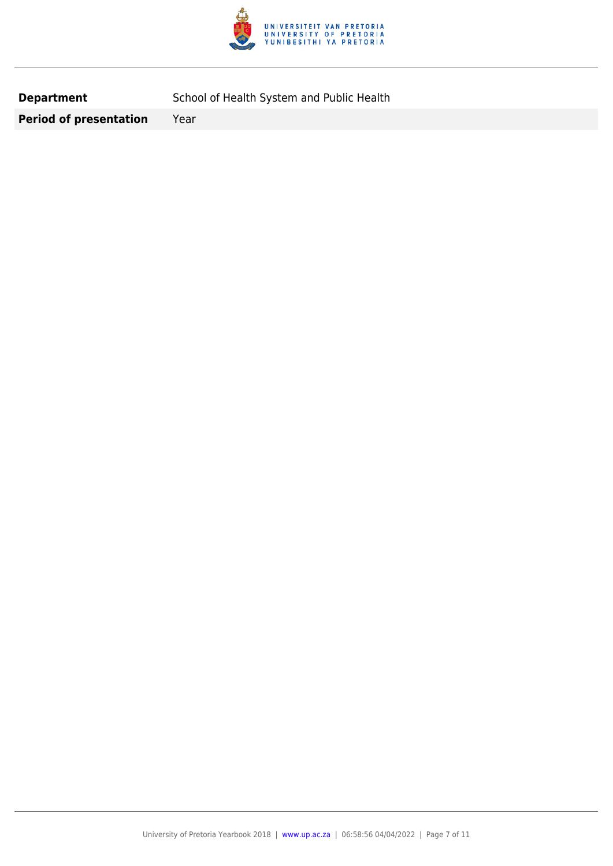

**Department** School of Health System and Public Health

**Period of presentation** Year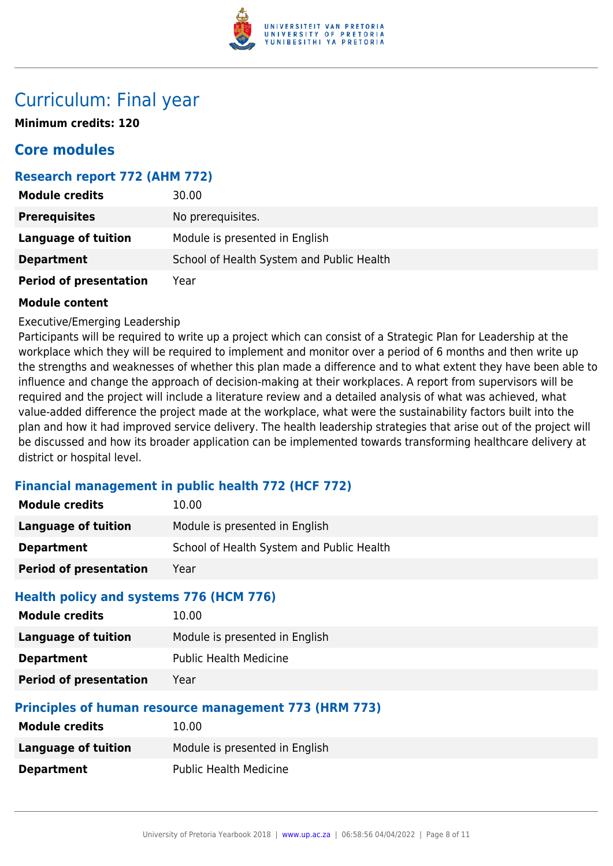

# Curriculum: Final year

**Minimum credits: 120**

# **Core modules**

## **Research report 772 (AHM 772)**

| <b>Module credits</b>         | 30.00                                     |
|-------------------------------|-------------------------------------------|
| <b>Prerequisites</b>          | No prerequisites.                         |
| Language of tuition           | Module is presented in English            |
| <b>Department</b>             | School of Health System and Public Health |
| <b>Period of presentation</b> | Year                                      |

#### **Module content**

Executive/Emerging Leadership

Participants will be required to write up a project which can consist of a Strategic Plan for Leadership at the workplace which they will be required to implement and monitor over a period of 6 months and then write up the strengths and weaknesses of whether this plan made a difference and to what extent they have been able to influence and change the approach of decision-making at their workplaces. A report from supervisors will be required and the project will include a literature review and a detailed analysis of what was achieved, what value-added difference the project made at the workplace, what were the sustainability factors built into the plan and how it had improved service delivery. The health leadership strategies that arise out of the project will be discussed and how its broader application can be implemented towards transforming healthcare delivery at district or hospital level.

### **Financial management in public health 772 (HCF 772)**

| <b>Module credits</b>                                            | 10.00                                                 |  |
|------------------------------------------------------------------|-------------------------------------------------------|--|
| <b>Language of tuition</b>                                       | Module is presented in English                        |  |
| <b>Department</b>                                                | School of Health System and Public Health             |  |
| <b>Period of presentation</b>                                    | Year                                                  |  |
| Health policy and systems 776 (HCM 776)<br><b>Module credits</b> | 10.00                                                 |  |
| Language of tuition                                              | Module is presented in English                        |  |
| <b>Department</b>                                                | <b>Public Health Medicine</b>                         |  |
| <b>Period of presentation</b>                                    | Year                                                  |  |
|                                                                  | Principles of human resource management 773 (HRM 773) |  |
| <b>Module credits</b>                                            | 10.00                                                 |  |
| <b>Language of tuition</b>                                       | Module is presented in English                        |  |
| <b>Department</b>                                                | <b>Public Health Medicine</b>                         |  |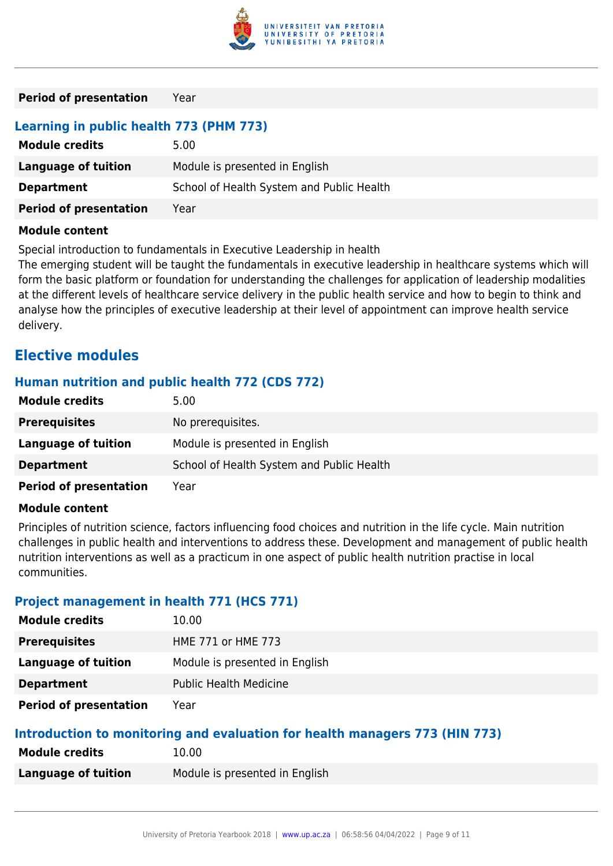

# **Learning in public health 773 (PHM 773)**

| <b>Module credits</b>         | 5.00                                      |
|-------------------------------|-------------------------------------------|
| Language of tuition           | Module is presented in English            |
| <b>Department</b>             | School of Health System and Public Health |
| <b>Period of presentation</b> | Year                                      |

#### **Module content**

Special introduction to fundamentals in Executive Leadership in health

The emerging student will be taught the fundamentals in executive leadership in healthcare systems which will form the basic platform or foundation for understanding the challenges for application of leadership modalities at the different levels of healthcare service delivery in the public health service and how to begin to think and analyse how the principles of executive leadership at their level of appointment can improve health service delivery.

# **Elective modules**

### **Human nutrition and public health 772 (CDS 772)**

| <b>Module credits</b>         | 5.00                                      |
|-------------------------------|-------------------------------------------|
| <b>Prerequisites</b>          | No prerequisites.                         |
| Language of tuition           | Module is presented in English            |
| <b>Department</b>             | School of Health System and Public Health |
| <b>Period of presentation</b> | Year                                      |

#### **Module content**

Principles of nutrition science, factors influencing food choices and nutrition in the life cycle. Main nutrition challenges in public health and interventions to address these. Development and management of public health nutrition interventions as well as a practicum in one aspect of public health nutrition practise in local communities.

### **Project management in health 771 (HCS 771)**

| <b>Module credits</b>         | 10.00                          |
|-------------------------------|--------------------------------|
| <b>Prerequisites</b>          | HME 771 or HME 773             |
| Language of tuition           | Module is presented in English |
| <b>Department</b>             | <b>Public Health Medicine</b>  |
| <b>Period of presentation</b> | Year                           |

#### **Introduction to monitoring and evaluation for health managers 773 (HIN 773)**

| <b>Module credits</b> | 10.00                          |
|-----------------------|--------------------------------|
| Language of tuition   | Module is presented in English |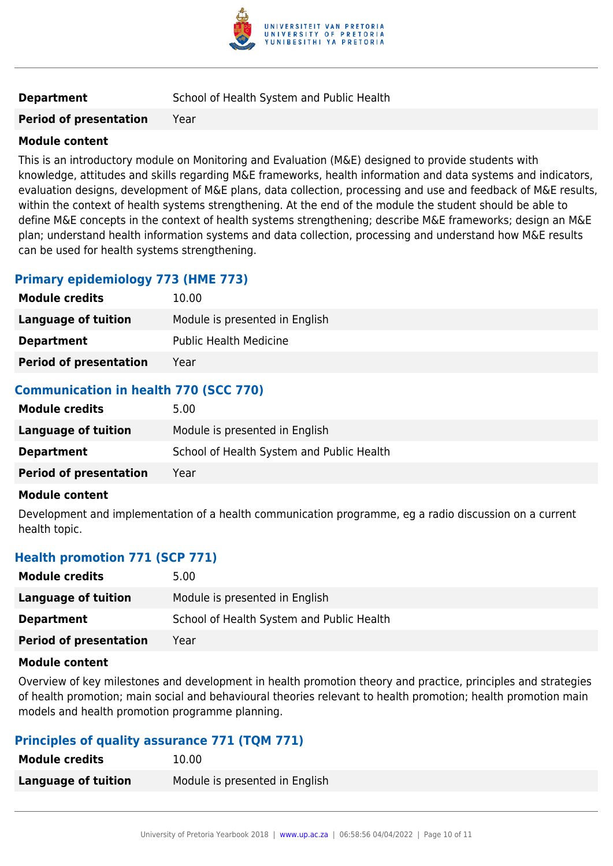

#### **Module content**

This is an introductory module on Monitoring and Evaluation (M&E) designed to provide students with knowledge, attitudes and skills regarding M&E frameworks, health information and data systems and indicators, evaluation designs, development of M&E plans, data collection, processing and use and feedback of M&E results, within the context of health systems strengthening. At the end of the module the student should be able to define M&E concepts in the context of health systems strengthening; describe M&E frameworks; design an M&E plan; understand health information systems and data collection, processing and understand how M&E results can be used for health systems strengthening.

# **Primary epidemiology 773 (HME 773)**

| <b>Module credits</b>         | 10.00                          |
|-------------------------------|--------------------------------|
| Language of tuition           | Module is presented in English |
| <b>Department</b>             | <b>Public Health Medicine</b>  |
| <b>Period of presentation</b> | Year                           |

## **Communication in health 770 (SCC 770)**

| <b>Module credits</b>         | 5.00                                      |
|-------------------------------|-------------------------------------------|
| Language of tuition           | Module is presented in English            |
| <b>Department</b>             | School of Health System and Public Health |
| <b>Period of presentation</b> | Year                                      |

#### **Module content**

Development and implementation of a health communication programme, eg a radio discussion on a current health topic.

### **Health promotion 771 (SCP 771)**

| <b>Module credits</b>         | 5.00                                      |
|-------------------------------|-------------------------------------------|
| Language of tuition           | Module is presented in English            |
| <b>Department</b>             | School of Health System and Public Health |
| <b>Period of presentation</b> | Year                                      |
|                               |                                           |

#### **Module content**

Overview of key milestones and development in health promotion theory and practice, principles and strategies of health promotion; main social and behavioural theories relevant to health promotion; health promotion main models and health promotion programme planning.

### **Principles of quality assurance 771 (TQM 771)**

| <b>Module credits</b> | 10.00                          |
|-----------------------|--------------------------------|
| Language of tuition   | Module is presented in English |